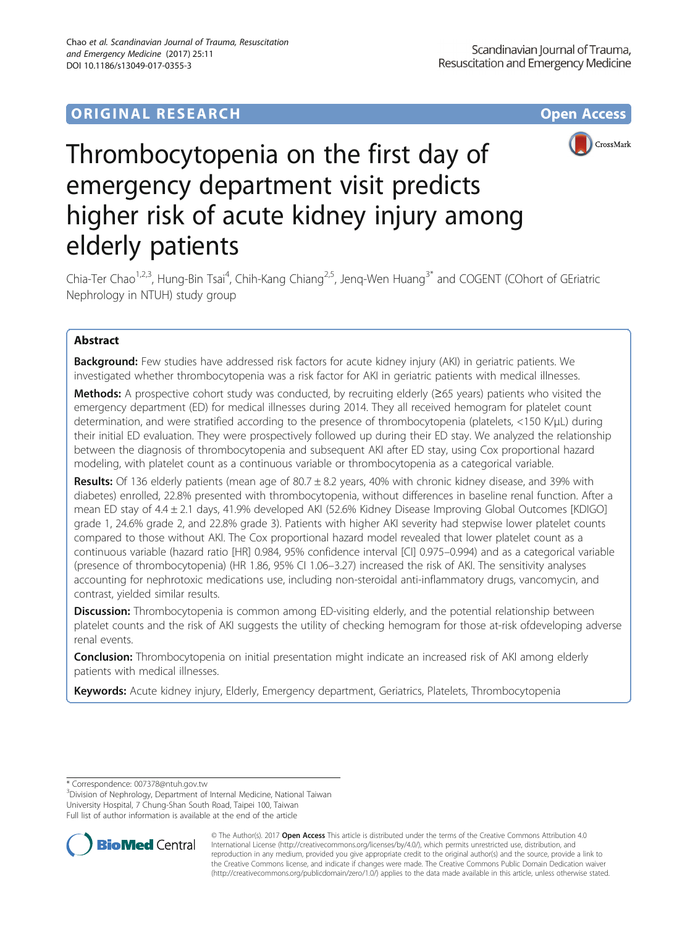# **ORIGINAL RESEARCH CONSUMING ACCESS**



# Thrombocytopenia on the first day of emergency department visit predicts higher risk of acute kidney injury among elderly patients

Chia-Ter Chao<sup>1,2,3</sup>, Hung-Bin Tsai<sup>4</sup>, Chih-Kang Chiang<sup>2,5</sup>, Jenq-Wen Huang<sup>3\*</sup> and COGENT (COhort of GEriatric Nephrology in NTUH) study group

# Abstract

**Background:** Few studies have addressed risk factors for acute kidney injury (AKI) in geriatric patients. We investigated whether thrombocytopenia was a risk factor for AKI in geriatric patients with medical illnesses.

Methods: A prospective cohort study was conducted, by recruiting elderly (≥65 years) patients who visited the emergency department (ED) for medical illnesses during 2014. They all received hemogram for platelet count determination, and were stratified according to the presence of thrombocytopenia (platelets, <150 K/μL) during their initial ED evaluation. They were prospectively followed up during their ED stay. We analyzed the relationship between the diagnosis of thrombocytopenia and subsequent AKI after ED stay, using Cox proportional hazard modeling, with platelet count as a continuous variable or thrombocytopenia as a categorical variable.

**Results:** Of 136 elderly patients (mean age of 80.7  $\pm$  8.2 years, 40% with chronic kidney disease, and 39% with diabetes) enrolled, 22.8% presented with thrombocytopenia, without differences in baseline renal function. After a mean ED stay of 4.4 ± 2.1 days, 41.9% developed AKI (52.6% Kidney Disease Improving Global Outcomes [KDIGO] grade 1, 24.6% grade 2, and 22.8% grade 3). Patients with higher AKI severity had stepwise lower platelet counts compared to those without AKI. The Cox proportional hazard model revealed that lower platelet count as a continuous variable (hazard ratio [HR] 0.984, 95% confidence interval [CI] 0.975–0.994) and as a categorical variable (presence of thrombocytopenia) (HR 1.86, 95% CI 1.06–3.27) increased the risk of AKI. The sensitivity analyses accounting for nephrotoxic medications use, including non-steroidal anti-inflammatory drugs, vancomycin, and contrast, yielded similar results.

**Discussion:** Thrombocytopenia is common among ED-visiting elderly, and the potential relationship between platelet counts and the risk of AKI suggests the utility of checking hemogram for those at-risk ofdeveloping adverse renal events.

**Conclusion:** Thrombocytopenia on initial presentation might indicate an increased risk of AKI among elderly patients with medical illnesses.

Keywords: Acute kidney injury, Elderly, Emergency department, Geriatrics, Platelets, Thrombocytopenia

\* Correspondence: [007378@ntuh.gov.tw](mailto:007378@ntuh.gov.tw) <sup>3</sup>

Division of Nephrology, Department of Internal Medicine, National Taiwan University Hospital, 7 Chung-Shan South Road, Taipei 100, Taiwan Full list of author information is available at the end of the article



© The Author(s). 2017 **Open Access** This article is distributed under the terms of the Creative Commons Attribution 4.0 International License [\(http://creativecommons.org/licenses/by/4.0/](http://creativecommons.org/licenses/by/4.0/)), which permits unrestricted use, distribution, and reproduction in any medium, provided you give appropriate credit to the original author(s) and the source, provide a link to the Creative Commons license, and indicate if changes were made. The Creative Commons Public Domain Dedication waiver [\(http://creativecommons.org/publicdomain/zero/1.0/](http://creativecommons.org/publicdomain/zero/1.0/)) applies to the data made available in this article, unless otherwise stated.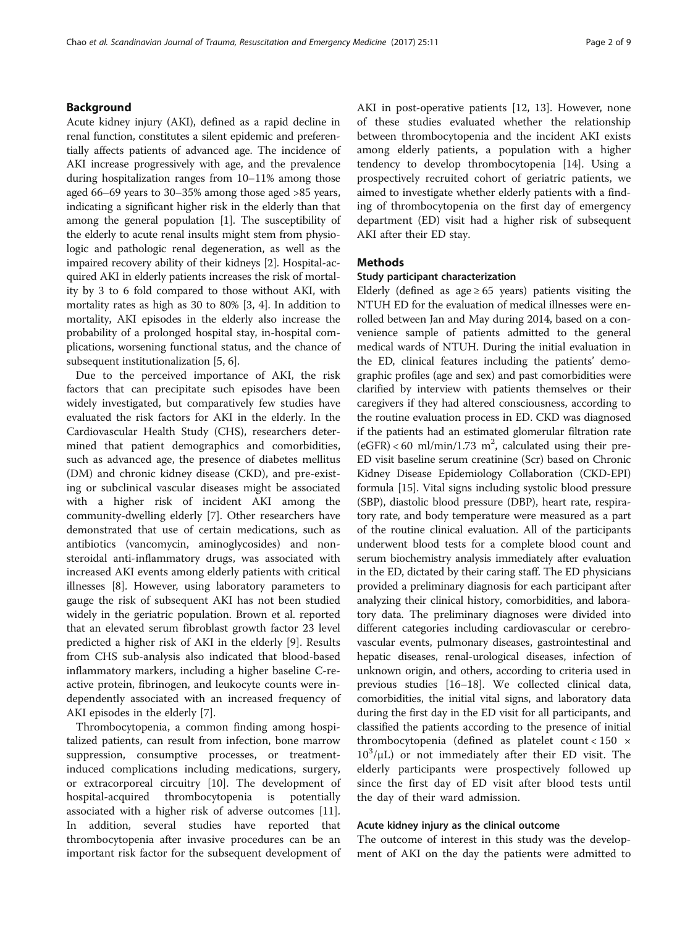# Background

Acute kidney injury (AKI), defined as a rapid decline in renal function, constitutes a silent epidemic and preferentially affects patients of advanced age. The incidence of AKI increase progressively with age, and the prevalence during hospitalization ranges from 10–11% among those aged 66–69 years to 30–35% among those aged >85 years, indicating a significant higher risk in the elderly than that among the general population [[1\]](#page-8-0). The susceptibility of the elderly to acute renal insults might stem from physiologic and pathologic renal degeneration, as well as the impaired recovery ability of their kidneys [\[2](#page-8-0)]. Hospital-acquired AKI in elderly patients increases the risk of mortality by 3 to 6 fold compared to those without AKI, with mortality rates as high as 30 to 80% [\[3](#page-8-0), [4\]](#page-8-0). In addition to mortality, AKI episodes in the elderly also increase the probability of a prolonged hospital stay, in-hospital complications, worsening functional status, and the chance of subsequent institutionalization [\[5, 6](#page-8-0)].

Due to the perceived importance of AKI, the risk factors that can precipitate such episodes have been widely investigated, but comparatively few studies have evaluated the risk factors for AKI in the elderly. In the Cardiovascular Health Study (CHS), researchers determined that patient demographics and comorbidities, such as advanced age, the presence of diabetes mellitus (DM) and chronic kidney disease (CKD), and pre-existing or subclinical vascular diseases might be associated with a higher risk of incident AKI among the community-dwelling elderly [[7\]](#page-8-0). Other researchers have demonstrated that use of certain medications, such as antibiotics (vancomycin, aminoglycosides) and nonsteroidal anti-inflammatory drugs, was associated with increased AKI events among elderly patients with critical illnesses [\[8](#page-8-0)]. However, using laboratory parameters to gauge the risk of subsequent AKI has not been studied widely in the geriatric population. Brown et al. reported that an elevated serum fibroblast growth factor 23 level predicted a higher risk of AKI in the elderly [[9\]](#page-8-0). Results from CHS sub-analysis also indicated that blood-based inflammatory markers, including a higher baseline C-reactive protein, fibrinogen, and leukocyte counts were independently associated with an increased frequency of AKI episodes in the elderly [[7\]](#page-8-0).

Thrombocytopenia, a common finding among hospitalized patients, can result from infection, bone marrow suppression, consumptive processes, or treatmentinduced complications including medications, surgery, or extracorporeal circuitry [\[10](#page-8-0)]. The development of hospital-acquired thrombocytopenia is potentially associated with a higher risk of adverse outcomes [\[11](#page-8-0)]. In addition, several studies have reported that thrombocytopenia after invasive procedures can be an important risk factor for the subsequent development of AKI in post-operative patients [\[12, 13](#page-8-0)]. However, none of these studies evaluated whether the relationship between thrombocytopenia and the incident AKI exists among elderly patients, a population with a higher tendency to develop thrombocytopenia [\[14](#page-8-0)]. Using a prospectively recruited cohort of geriatric patients, we aimed to investigate whether elderly patients with a finding of thrombocytopenia on the first day of emergency department (ED) visit had a higher risk of subsequent AKI after their ED stay.

# **Methods**

### Study participant characterization

Elderly (defined as age  $\geq 65$  years) patients visiting the NTUH ED for the evaluation of medical illnesses were enrolled between Jan and May during 2014, based on a convenience sample of patients admitted to the general medical wards of NTUH. During the initial evaluation in the ED, clinical features including the patients' demographic profiles (age and sex) and past comorbidities were clarified by interview with patients themselves or their caregivers if they had altered consciousness, according to the routine evaluation process in ED. CKD was diagnosed if the patients had an estimated glomerular filtration rate  $(eGFR)$  < 60 ml/min/1.73 m<sup>2</sup>, calculated using their pre-ED visit baseline serum creatinine (Scr) based on Chronic Kidney Disease Epidemiology Collaboration (CKD-EPI) formula [[15](#page-8-0)]. Vital signs including systolic blood pressure (SBP), diastolic blood pressure (DBP), heart rate, respiratory rate, and body temperature were measured as a part of the routine clinical evaluation. All of the participants underwent blood tests for a complete blood count and serum biochemistry analysis immediately after evaluation in the ED, dictated by their caring staff. The ED physicians provided a preliminary diagnosis for each participant after analyzing their clinical history, comorbidities, and laboratory data. The preliminary diagnoses were divided into different categories including cardiovascular or cerebrovascular events, pulmonary diseases, gastrointestinal and hepatic diseases, renal-urological diseases, infection of unknown origin, and others, according to criteria used in previous studies [\[16](#page-8-0)–[18](#page-8-0)]. We collected clinical data, comorbidities, the initial vital signs, and laboratory data during the first day in the ED visit for all participants, and classified the patients according to the presence of initial thrombocytopenia (defined as platelet count < 150 ×  $10^3/\mu$ L) or not immediately after their ED visit. The elderly participants were prospectively followed up since the first day of ED visit after blood tests until the day of their ward admission.

#### Acute kidney injury as the clinical outcome

The outcome of interest in this study was the development of AKI on the day the patients were admitted to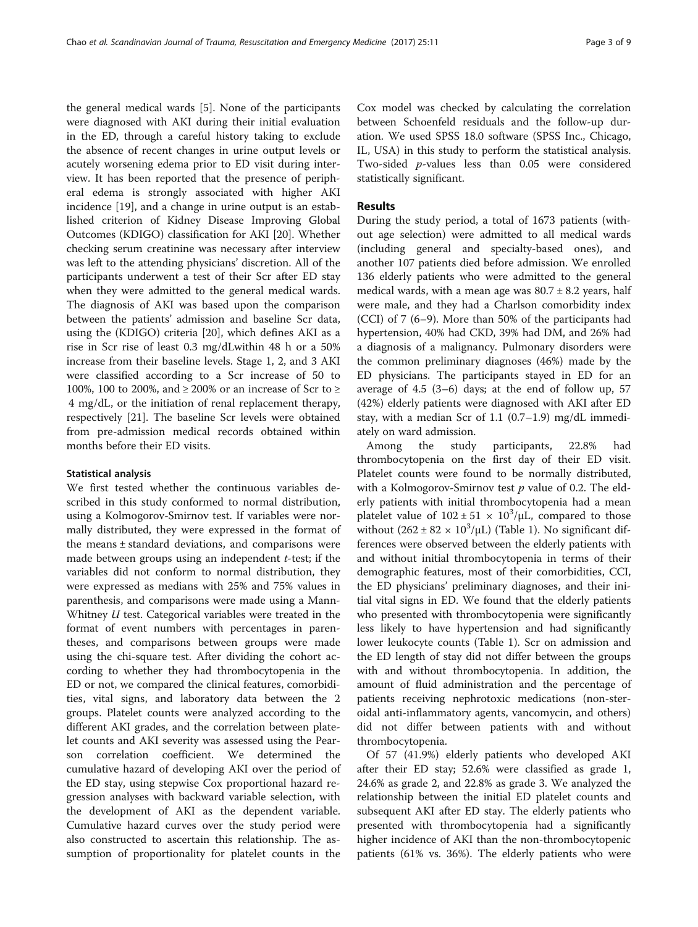the general medical wards [\[5](#page-8-0)]. None of the participants were diagnosed with AKI during their initial evaluation in the ED, through a careful history taking to exclude the absence of recent changes in urine output levels or acutely worsening edema prior to ED visit during interview. It has been reported that the presence of peripheral edema is strongly associated with higher AKI incidence [[19\]](#page-8-0), and a change in urine output is an established criterion of Kidney Disease Improving Global Outcomes (KDIGO) classification for AKI [\[20\]](#page-8-0). Whether checking serum creatinine was necessary after interview was left to the attending physicians' discretion. All of the participants underwent a test of their Scr after ED stay when they were admitted to the general medical wards. The diagnosis of AKI was based upon the comparison between the patients' admission and baseline Scr data, using the (KDIGO) criteria [[20](#page-8-0)], which defines AKI as a rise in Scr rise of least 0.3 mg/dLwithin 48 h or a 50% increase from their baseline levels. Stage 1, 2, and 3 AKI were classified according to a Scr increase of 50 to 100%, 100 to 200%, and  $\geq$  200% or an increase of Scr to  $\geq$ 4 mg/dL, or the initiation of renal replacement therapy, respectively [[21](#page-8-0)]. The baseline Scr levels were obtained from pre-admission medical records obtained within months before their ED visits.

#### Statistical analysis

We first tested whether the continuous variables described in this study conformed to normal distribution, using a Kolmogorov-Smirnov test. If variables were normally distributed, they were expressed in the format of the means ± standard deviations, and comparisons were made between groups using an independent  $t$ -test; if the variables did not conform to normal distribution, they were expressed as medians with 25% and 75% values in parenthesis, and comparisons were made using a Mann-Whitney *U* test. Categorical variables were treated in the format of event numbers with percentages in parentheses, and comparisons between groups were made using the chi-square test. After dividing the cohort according to whether they had thrombocytopenia in the ED or not, we compared the clinical features, comorbidities, vital signs, and laboratory data between the 2 groups. Platelet counts were analyzed according to the different AKI grades, and the correlation between platelet counts and AKI severity was assessed using the Pearson correlation coefficient. We determined the cumulative hazard of developing AKI over the period of the ED stay, using stepwise Cox proportional hazard regression analyses with backward variable selection, with the development of AKI as the dependent variable. Cumulative hazard curves over the study period were also constructed to ascertain this relationship. The assumption of proportionality for platelet counts in the

Cox model was checked by calculating the correlation between Schoenfeld residuals and the follow-up duration. We used SPSS 18.0 software (SPSS Inc., Chicago, IL, USA) in this study to perform the statistical analysis. Two-sided p-values less than 0.05 were considered statistically significant.

## Results

During the study period, a total of 1673 patients (without age selection) were admitted to all medical wards (including general and specialty-based ones), and another 107 patients died before admission. We enrolled 136 elderly patients who were admitted to the general medical wards, with a mean age was  $80.7 \pm 8.2$  years, half were male, and they had a Charlson comorbidity index (CCI) of 7 (6–9). More than 50% of the participants had hypertension, 40% had CKD, 39% had DM, and 26% had a diagnosis of a malignancy. Pulmonary disorders were the common preliminary diagnoses (46%) made by the ED physicians. The participants stayed in ED for an average of  $4.5$   $(3-6)$  days; at the end of follow up, 57 (42%) elderly patients were diagnosed with AKI after ED stay, with a median Scr of 1.1 (0.7–1.9) mg/dL immediately on ward admission.

Among the study participants, 22.8% had thrombocytopenia on the first day of their ED visit. Platelet counts were found to be normally distributed, with a Kolmogorov-Smirnov test  $p$  value of 0.2. The elderly patients with initial thrombocytopenia had a mean platelet value of  $102 \pm 51 \times 10^3/\mu L$ , compared to those without  $(262 \pm 82 \times 10^3/\mu L)$  (Table [1\)](#page-3-0). No significant differences were observed between the elderly patients with and without initial thrombocytopenia in terms of their demographic features, most of their comorbidities, CCI, the ED physicians' preliminary diagnoses, and their initial vital signs in ED. We found that the elderly patients who presented with thrombocytopenia were significantly less likely to have hypertension and had significantly lower leukocyte counts (Table [1\)](#page-3-0). Scr on admission and the ED length of stay did not differ between the groups with and without thrombocytopenia. In addition, the amount of fluid administration and the percentage of patients receiving nephrotoxic medications (non-steroidal anti-inflammatory agents, vancomycin, and others) did not differ between patients with and without thrombocytopenia.

Of 57 (41.9%) elderly patients who developed AKI after their ED stay; 52.6% were classified as grade 1, 24.6% as grade 2, and 22.8% as grade 3. We analyzed the relationship between the initial ED platelet counts and subsequent AKI after ED stay. The elderly patients who presented with thrombocytopenia had a significantly higher incidence of AKI than the non-thrombocytopenic patients (61% vs. 36%). The elderly patients who were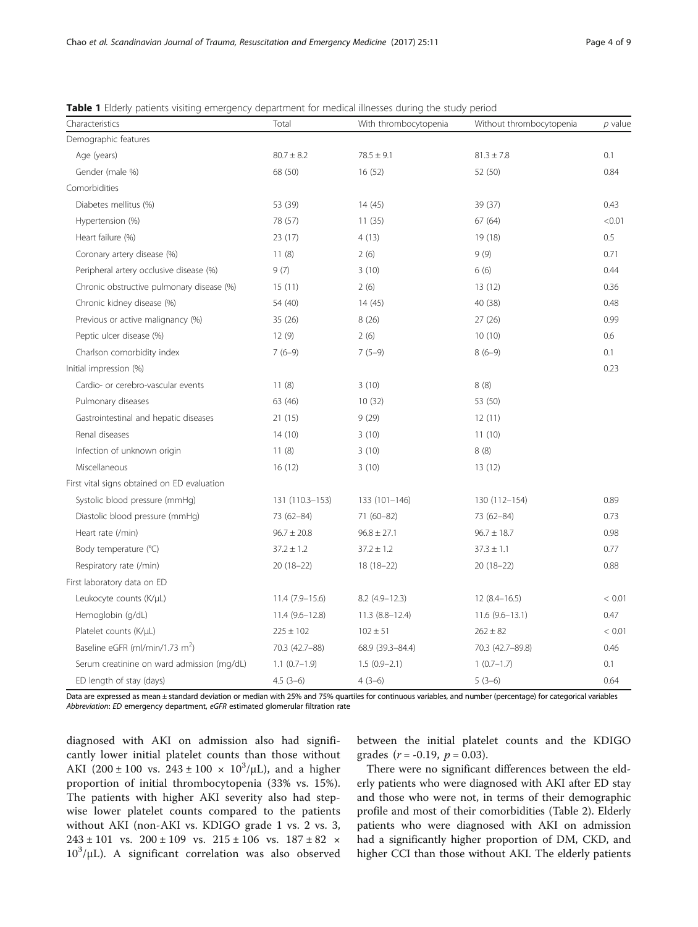| Characteristics                             | Total            | With thrombocytopenia | Without thrombocytopenia | $p$ value |
|---------------------------------------------|------------------|-----------------------|--------------------------|-----------|
| Demographic features                        |                  |                       |                          |           |
| Age (years)                                 | $80.7 \pm 8.2$   | $78.5 \pm 9.1$        | $81.3 \pm 7.8$           | 0.1       |
| Gender (male %)                             | 68 (50)          | 16 (52)               | 52 (50)                  | 0.84      |
| Comorbidities                               |                  |                       |                          |           |
| Diabetes mellitus (%)                       | 53 (39)          | 14 (45)               | 39 (37)                  | 0.43      |
| Hypertension (%)                            | 78 (57)          | 11(35)                | 67 (64)                  | < 0.01    |
| Heart failure (%)                           | 23(17)           | 4(13)                 | 19 (18)                  | 0.5       |
| Coronary artery disease (%)                 | 11(8)            | 2(6)                  | 9(9)                     | 0.71      |
| Peripheral artery occlusive disease (%)     | 9(7)             | 3(10)                 | 6(6)                     | 0.44      |
| Chronic obstructive pulmonary disease (%)   | 15(11)           | 2(6)                  | 13(12)                   | 0.36      |
| Chronic kidney disease (%)                  | 54 (40)          | 14 (45)               | 40 (38)                  | 0.48      |
| Previous or active malignancy (%)           | 35(26)           | 8(26)                 | 27(26)                   | 0.99      |
| Peptic ulcer disease (%)                    | 12(9)            | 2(6)                  | 10(10)                   | 0.6       |
| Charlson comorbidity index                  | $7(6-9)$         | $7(5-9)$              | $8(6-9)$                 | 0.1       |
| Initial impression (%)                      |                  |                       |                          | 0.23      |
| Cardio- or cerebro-vascular events          | 11(8)            | 3(10)                 | 8(8)                     |           |
| Pulmonary diseases                          | 63 (46)          | 10(32)                | 53 (50)                  |           |
| Gastrointestinal and hepatic diseases       | 21(15)           | 9(29)                 | 12(11)                   |           |
| Renal diseases                              | 14(10)           | 3(10)                 | 11(10)                   |           |
| Infection of unknown origin                 | 11(8)            | 3(10)                 | 8(8)                     |           |
| Miscellaneous                               | 16(12)           | 3(10)                 | 13(12)                   |           |
| First vital signs obtained on ED evaluation |                  |                       |                          |           |
| Systolic blood pressure (mmHg)              | 131 (110.3-153)  | 133 (101-146)         | 130 (112-154)            | 0.89      |
| Diastolic blood pressure (mmHg)             | 73 (62-84)       | 71 (60-82)            | 73 (62-84)               | 0.73      |
| Heart rate (/min)                           | $96.7 \pm 20.8$  | $96.8 \pm 27.1$       | $96.7 \pm 18.7$          | 0.98      |
| Body temperature (°C)                       | $37.2 \pm 1.2$   | $37.2 \pm 1.2$        | $37.3 \pm 1.1$           | 0.77      |
| Respiratory rate (/min)                     | $20(18-22)$      | $18(18-22)$           | $20(18-22)$              | 0.88      |
| First laboratory data on ED                 |                  |                       |                          |           |
| Leukocyte counts (K/µL)                     | $11.4(7.9-15.6)$ | $8.2(4.9-12.3)$       | $12(8.4 - 16.5)$         | < 0.01    |
| Hemoglobin (g/dL)                           | $11.4(9.6-12.8)$ | $11.3(8.8-12.4)$      | $11.6(9.6 - 13.1)$       | 0.47      |
| Platelet counts (K/µL)                      | $225 \pm 102$    | $102 \pm 51$          | $262 \pm 82$             | < 0.01    |
| Baseline eGFR (ml/min/1.73 m <sup>2</sup> ) | 70.3 (42.7-88)   | 68.9 (39.3-84.4)      | 70.3 (42.7-89.8)         | 0.46      |
| Serum creatinine on ward admission (mg/dL)  | $1.1(0.7-1.9)$   | $1.5(0.9-2.1)$        | $1(0.7-1.7)$             | 0.1       |
| ED length of stay (days)                    | $4.5(3-6)$       | $4(3-6)$              | $5(3-6)$                 | 0.64      |

<span id="page-3-0"></span>Table 1 Elderly patients visiting emergency department for medical illnesses during the study period

Data are expressed as mean ± standard deviation or median with 25% and 75% quartiles for continuous variables, and number (percentage) for categorical variables Abbreviation: ED emergency department, eGFR estimated glomerular filtration rate

diagnosed with AKI on admission also had significantly lower initial platelet counts than those without AKI  $(200 \pm 100 \text{ vs. } 243 \pm 100 \times 10^3/\mu L)$ , and a higher proportion of initial thrombocytopenia (33% vs. 15%). The patients with higher AKI severity also had stepwise lower platelet counts compared to the patients without AKI (non-AKI vs. KDIGO grade 1 vs. 2 vs. 3,  $243 \pm 101$  vs.  $200 \pm 109$  vs.  $215 \pm 106$  vs.  $187 \pm 82$  ×  $10^3/\mu$ L). A significant correlation was also observed

between the initial platelet counts and the KDIGO grades  $(r = -0.19, p = 0.03)$ .

There were no significant differences between the elderly patients who were diagnosed with AKI after ED stay and those who were not, in terms of their demographic profile and most of their comorbidities (Table [2\)](#page-4-0). Elderly patients who were diagnosed with AKI on admission had a significantly higher proportion of DM, CKD, and higher CCI than those without AKI. The elderly patients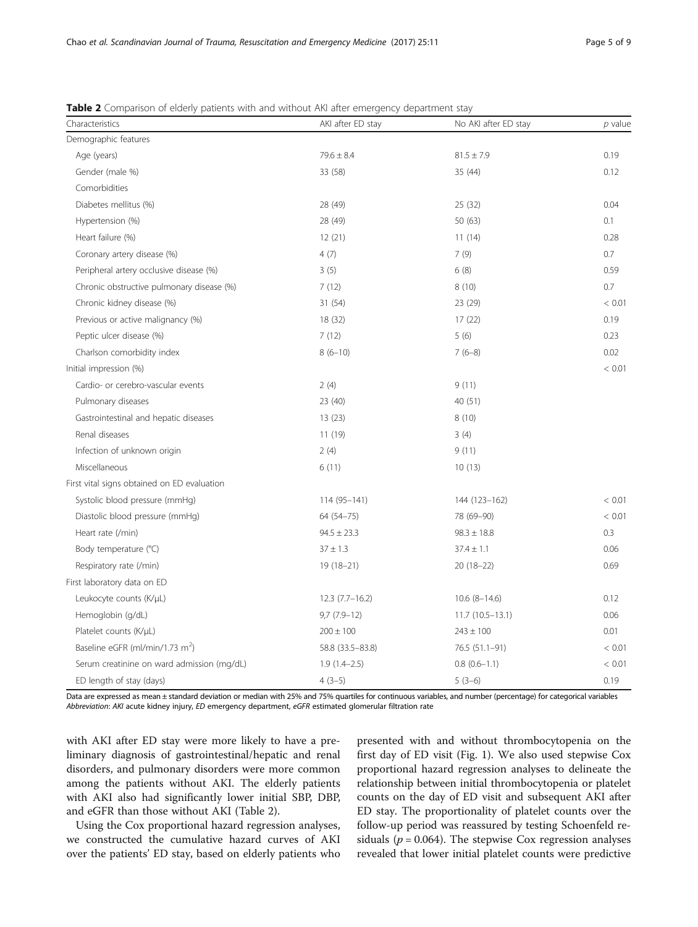| Characteristics                             | AKI after ED stay | No AKI after ED stay | $p$ value |
|---------------------------------------------|-------------------|----------------------|-----------|
| Demographic features                        |                   |                      |           |
| Age (years)                                 | $79.6 \pm 8.4$    | $81.5 \pm 7.9$       | 0.19      |
| Gender (male %)                             | 33 (58)           | 35 (44)              | 0.12      |
| Comorbidities                               |                   |                      |           |
| Diabetes mellitus (%)                       | 28 (49)           | 25 (32)              | 0.04      |
| Hypertension (%)                            | 28 (49)           | 50 (63)              | 0.1       |
| Heart failure (%)                           | 12(21)            | 11(14)               | 0.28      |
| Coronary artery disease (%)                 | 4(7)              | 7(9)                 | 0.7       |
| Peripheral artery occlusive disease (%)     | 3(5)              | 6(8)                 | 0.59      |
| Chronic obstructive pulmonary disease (%)   | 7(12)             | 8(10)                | 0.7       |
| Chronic kidney disease (%)                  | 31 (54)           | 23 (29)              | < 0.01    |
| Previous or active malignancy (%)           | 18 (32)           | 17(22)               | 0.19      |
| Peptic ulcer disease (%)                    | 7(12)             | 5(6)                 | 0.23      |
| Charlson comorbidity index                  | $8(6-10)$         | $7(6-8)$             | 0.02      |
| Initial impression (%)                      |                   |                      | < 0.01    |
| Cardio- or cerebro-vascular events          | 2(4)              | 9(11)                |           |
| Pulmonary diseases                          | 23 (40)           | 40 (51)              |           |
| Gastrointestinal and hepatic diseases       | 13(23)            | 8(10)                |           |
| Renal diseases                              | 11 (19)           | 3(4)                 |           |
| Infection of unknown origin                 | 2(4)              | 9(11)                |           |
| Miscellaneous                               | 6(11)             | 10(13)               |           |
| First vital signs obtained on ED evaluation |                   |                      |           |
| Systolic blood pressure (mmHg)              | $114(95-141)$     | 144 (123-162)        | < 0.01    |
| Diastolic blood pressure (mmHg)             | 64 (54-75)        | 78 (69-90)           | < 0.01    |
| Heart rate (/min)                           | $94.5 \pm 23.3$   | $98.3 \pm 18.8$      | 0.3       |
| Body temperature (°C)                       | $37 \pm 1.3$      | $37.4 \pm 1.1$       | 0.06      |
| Respiratory rate (/min)                     | $19(18-21)$       | 20 (18-22)           | 0.69      |
| First laboratory data on ED                 |                   |                      |           |
| Leukocyte counts (K/µL)                     | $12.3(7.7-16.2)$  | $10.6$ (8-14.6)      | 0.12      |
| Hemoglobin (g/dL)                           | $9,7(7.9-12)$     | $11.7(10.5-13.1)$    | 0.06      |
| Platelet counts (K/µL)                      | $200 \pm 100$     | $243 \pm 100$        | 0.01      |
| Baseline eGFR (ml/min/1.73 $m2$ )           | 58.8 (33.5-83.8)  | 76.5 (51.1-91)       | < 0.01    |
| Serum creatinine on ward admission (mg/dL)  | $1.9(1.4-2.5)$    | $0.8(0.6-1.1)$       | < 0.01    |
| ED length of stay (days)                    | $4(3-5)$          | $5(3-6)$             | 0.19      |

<span id="page-4-0"></span>**Table 2** Comparison of elderly patients with and without AKI after emergency department stay

Data are expressed as mean ± standard deviation or median with 25% and 75% quartiles for continuous variables, and number (percentage) for categorical variables Abbreviation: AKI acute kidney injury, ED emergency department, eGFR estimated glomerular filtration rate

with AKI after ED stay were more likely to have a preliminary diagnosis of gastrointestinal/hepatic and renal disorders, and pulmonary disorders were more common among the patients without AKI. The elderly patients with AKI also had significantly lower initial SBP, DBP, and eGFR than those without AKI (Table 2).

Using the Cox proportional hazard regression analyses, we constructed the cumulative hazard curves of AKI over the patients' ED stay, based on elderly patients who

presented with and without thrombocytopenia on the first day of ED visit (Fig. [1\)](#page-5-0). We also used stepwise Cox proportional hazard regression analyses to delineate the relationship between initial thrombocytopenia or platelet counts on the day of ED visit and subsequent AKI after ED stay. The proportionality of platelet counts over the follow-up period was reassured by testing Schoenfeld residuals ( $p = 0.064$ ). The stepwise Cox regression analyses revealed that lower initial platelet counts were predictive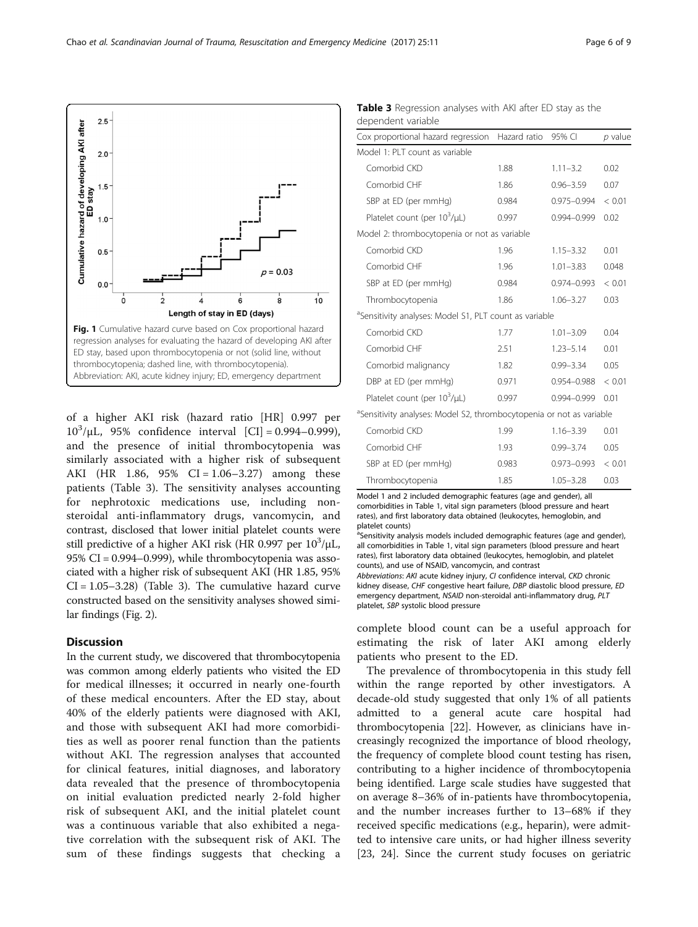<span id="page-5-0"></span>

of a higher AKI risk (hazard ratio [HR] 0.997 per  $10^3/\mu$ L, 95% confidence interval [CI] = 0.994–0.999), and the presence of initial thrombocytopenia was similarly associated with a higher risk of subsequent AKI (HR 1.86, 95% CI = 1.06–3.27) among these patients (Table 3). The sensitivity analyses accounting for nephrotoxic medications use, including nonsteroidal anti-inflammatory drugs, vancomycin, and contrast, disclosed that lower initial platelet counts were still predictive of a higher AKI risk (HR 0.997 per  $10^3/\mu L$ , 95% CI = 0.994–0.999), while thrombocytopenia was associated with a higher risk of subsequent AKI (HR 1.85, 95%  $CI = 1.05 - 3.28$ ) (Table 3). The cumulative hazard curve constructed based on the sensitivity analyses showed similar findings (Fig. [2\)](#page-6-0).

# **Discussion**

In the current study, we discovered that thrombocytopenia was common among elderly patients who visited the ED for medical illnesses; it occurred in nearly one-fourth of these medical encounters. After the ED stay, about 40% of the elderly patients were diagnosed with AKI, and those with subsequent AKI had more comorbidities as well as poorer renal function than the patients without AKI. The regression analyses that accounted for clinical features, initial diagnoses, and laboratory data revealed that the presence of thrombocytopenia on initial evaluation predicted nearly 2-fold higher risk of subsequent AKI, and the initial platelet count was a continuous variable that also exhibited a negative correlation with the subsequent risk of AKI. The sum of these findings suggests that checking a

| Table 3 Regression analyses with AKI after ED stay as the |  |  |  |  |
|-----------------------------------------------------------|--|--|--|--|
| dependent variable                                        |  |  |  |  |

| Cox proportional hazard regression Hazard ratio                                  |       | 95% CI        | $p$ value |
|----------------------------------------------------------------------------------|-------|---------------|-----------|
| Model 1: PLT count as variable                                                   |       |               |           |
| Comorbid CKD                                                                     | 1.88  | $1.11 - 3.2$  | 0.02      |
| Comorbid CHF                                                                     | 1.86  | $0.96 - 3.59$ | 0.07      |
| SBP at ED (per mmHg)                                                             | 0.984 | 0.975-0.994   | < 0.01    |
| Platelet count (per $10^3/\mu$ L)                                                | 0.997 | 0.994-0.999   | 0.02      |
| Model 2: thrombocytopenia or not as variable                                     |       |               |           |
| Comorbid CKD                                                                     | 1.96  | $1.15 - 3.32$ | 0.01      |
| Comorbid CHF                                                                     | 1.96  | $1.01 - 3.83$ | 0.048     |
| SBP at ED (per mmHg)                                                             | 0.984 | 0.974-0.993   | < 0.01    |
| Thrombocytopenia                                                                 | 1.86  | $1.06 - 3.27$ | 0.03      |
| <sup>a</sup> Sensitivity analyses: Model S1, PLT count as variable               |       |               |           |
| Comorbid CKD                                                                     | 1.77  | $1.01 - 3.09$ | 0.04      |
| Comorbid CHF                                                                     | 2.51  | $1.23 - 5.14$ | 0.01      |
| Comorbid malignancy                                                              | 1.82  | $0.99 - 3.34$ | 0.05      |
| DBP at ED (per mmHg)                                                             | 0.971 | 0.954-0.988   | < 0.01    |
| Platelet count (per $10^3/\mu$ L)                                                | 0.997 | 0.994-0.999   | 0.01      |
| <sup>a</sup> Sensitivity analyses: Model S2, thrombocytopenia or not as variable |       |               |           |
| Comorbid CKD                                                                     | 1.99  | $1.16 - 3.39$ | 0.01      |
| Comorbid CHF                                                                     | 1.93  | $0.99 - 3.74$ | 0.05      |
| SBP at ED (per mmHg)                                                             | 0.983 | 0.973-0.993   | < 0.01    |
| Thrombocytopenia                                                                 | 1.85  | $1.05 - 3.28$ | 0.03      |

Model 1 and 2 included demographic features (age and gender), all comorbidities in Table [1](#page-3-0), vital sign parameters (blood pressure and heart rates), and first laboratory data obtained (leukocytes, hemoglobin, and platelet counts)

aSensitivity analysis models included demographic features (age and gender), all comorbidities in Table [1,](#page-3-0) vital sign parameters (blood pressure and heart rates), first laboratory data obtained (leukocytes, hemoglobin, and platelet counts), and use of NSAID, vancomycin, and contrast Abbreviations: AKI acute kidney injury, CI confidence interval, CKD chronic kidney disease, CHF congestive heart failure, DBP diastolic blood pressure, ED emergency department, NSAID non-steroidal anti-inflammatory drug, PLT platelet, SBP systolic blood pressure

complete blood count can be a useful approach for estimating the risk of later AKI among elderly patients who present to the ED.

The prevalence of thrombocytopenia in this study fell within the range reported by other investigators. A decade-old study suggested that only 1% of all patients admitted to a general acute care hospital had thrombocytopenia [\[22\]](#page-8-0). However, as clinicians have increasingly recognized the importance of blood rheology, the frequency of complete blood count testing has risen, contributing to a higher incidence of thrombocytopenia being identified. Large scale studies have suggested that on average 8–36% of in-patients have thrombocytopenia, and the number increases further to 13–68% if they received specific medications (e.g., heparin), were admitted to intensive care units, or had higher illness severity [[23, 24](#page-8-0)]. Since the current study focuses on geriatric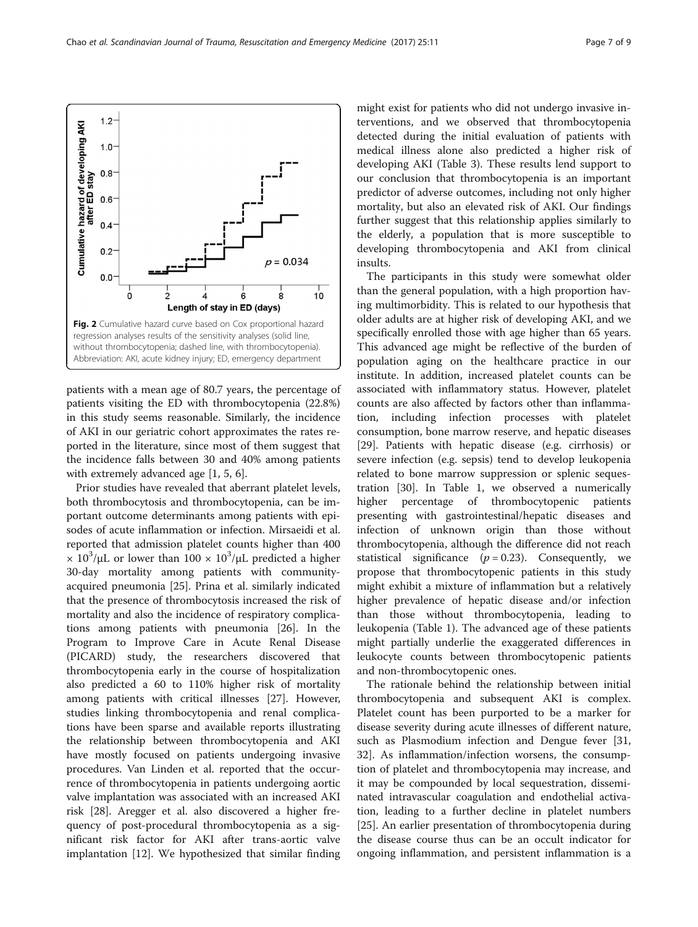<span id="page-6-0"></span>

patients with a mean age of 80.7 years, the percentage of patients visiting the ED with thrombocytopenia (22.8%) in this study seems reasonable. Similarly, the incidence of AKI in our geriatric cohort approximates the rates reported in the literature, since most of them suggest that the incidence falls between 30 and 40% among patients with extremely advanced age [[1, 5, 6\]](#page-8-0).

Prior studies have revealed that aberrant platelet levels, both thrombocytosis and thrombocytopenia, can be important outcome determinants among patients with episodes of acute inflammation or infection. Mirsaeidi et al. reported that admission platelet counts higher than 400  $\times$  10<sup>3</sup>/µL or lower than 100  $\times$  10<sup>3</sup>/µL predicted a higher 30-day mortality among patients with communityacquired pneumonia [[25\]](#page-8-0). Prina et al. similarly indicated that the presence of thrombocytosis increased the risk of mortality and also the incidence of respiratory complications among patients with pneumonia [[26](#page-8-0)]. In the Program to Improve Care in Acute Renal Disease (PICARD) study, the researchers discovered that thrombocytopenia early in the course of hospitalization also predicted a 60 to 110% higher risk of mortality among patients with critical illnesses [[27\]](#page-8-0). However, studies linking thrombocytopenia and renal complications have been sparse and available reports illustrating the relationship between thrombocytopenia and AKI have mostly focused on patients undergoing invasive procedures. Van Linden et al. reported that the occurrence of thrombocytopenia in patients undergoing aortic valve implantation was associated with an increased AKI risk [\[28\]](#page-8-0). Aregger et al. also discovered a higher frequency of post-procedural thrombocytopenia as a significant risk factor for AKI after trans-aortic valve implantation [[12\]](#page-8-0). We hypothesized that similar finding

might exist for patients who did not undergo invasive interventions, and we observed that thrombocytopenia detected during the initial evaluation of patients with medical illness alone also predicted a higher risk of developing AKI (Table [3\)](#page-5-0). These results lend support to our conclusion that thrombocytopenia is an important predictor of adverse outcomes, including not only higher mortality, but also an elevated risk of AKI. Our findings further suggest that this relationship applies similarly to the elderly, a population that is more susceptible to developing thrombocytopenia and AKI from clinical insults.

The participants in this study were somewhat older than the general population, with a high proportion having multimorbidity. This is related to our hypothesis that older adults are at higher risk of developing AKI, and we specifically enrolled those with age higher than 65 years. This advanced age might be reflective of the burden of population aging on the healthcare practice in our institute. In addition, increased platelet counts can be associated with inflammatory status. However, platelet counts are also affected by factors other than inflammation, including infection processes with platelet consumption, bone marrow reserve, and hepatic diseases [[29\]](#page-8-0). Patients with hepatic disease (e.g. cirrhosis) or severe infection (e.g. sepsis) tend to develop leukopenia related to bone marrow suppression or splenic sequestration [[30](#page-8-0)]. In Table [1](#page-3-0), we observed a numerically higher percentage of thrombocytopenic patients presenting with gastrointestinal/hepatic diseases and infection of unknown origin than those without thrombocytopenia, although the difference did not reach statistical significance  $(p = 0.23)$ . Consequently, we propose that thrombocytopenic patients in this study might exhibit a mixture of inflammation but a relatively higher prevalence of hepatic disease and/or infection than those without thrombocytopenia, leading to leukopenia (Table [1\)](#page-3-0). The advanced age of these patients might partially underlie the exaggerated differences in leukocyte counts between thrombocytopenic patients and non-thrombocytopenic ones.

The rationale behind the relationship between initial thrombocytopenia and subsequent AKI is complex. Platelet count has been purported to be a marker for disease severity during acute illnesses of different nature, such as Plasmodium infection and Dengue fever [[31](#page-8-0), [32\]](#page-8-0). As inflammation/infection worsens, the consumption of platelet and thrombocytopenia may increase, and it may be compounded by local sequestration, disseminated intravascular coagulation and endothelial activation, leading to a further decline in platelet numbers [[25\]](#page-8-0). An earlier presentation of thrombocytopenia during the disease course thus can be an occult indicator for ongoing inflammation, and persistent inflammation is a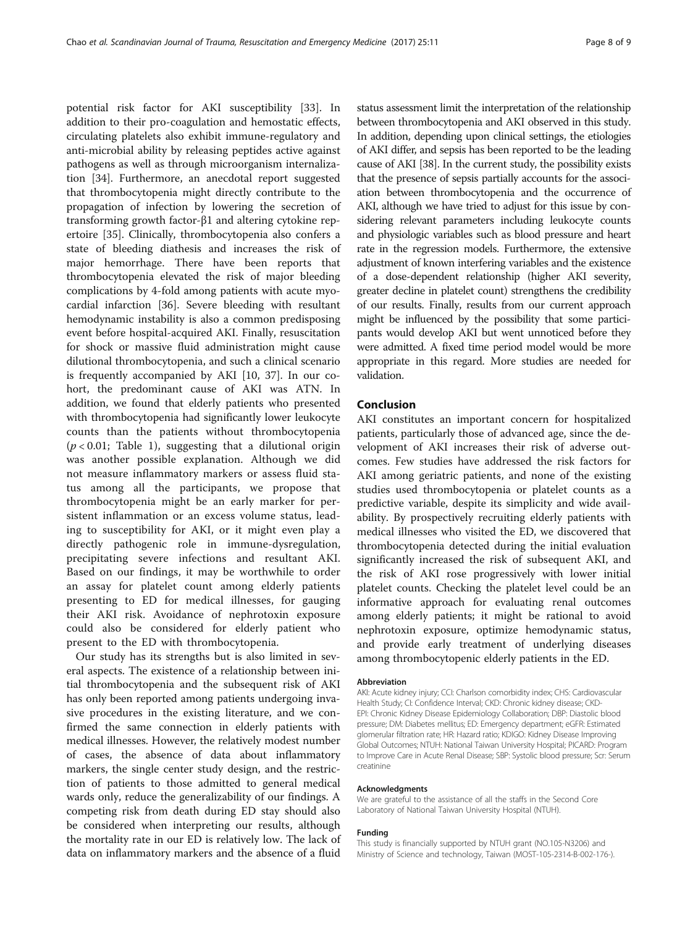potential risk factor for AKI susceptibility [\[33](#page-8-0)]. In addition to their pro-coagulation and hemostatic effects, circulating platelets also exhibit immune-regulatory and anti-microbial ability by releasing peptides active against pathogens as well as through microorganism internalization [\[34](#page-8-0)]. Furthermore, an anecdotal report suggested that thrombocytopenia might directly contribute to the propagation of infection by lowering the secretion of transforming growth factor-β1 and altering cytokine repertoire [[35\]](#page-8-0). Clinically, thrombocytopenia also confers a state of bleeding diathesis and increases the risk of major hemorrhage. There have been reports that thrombocytopenia elevated the risk of major bleeding complications by 4-fold among patients with acute myocardial infarction [\[36\]](#page-8-0). Severe bleeding with resultant hemodynamic instability is also a common predisposing event before hospital-acquired AKI. Finally, resuscitation for shock or massive fluid administration might cause dilutional thrombocytopenia, and such a clinical scenario is frequently accompanied by AKI [[10, 37\]](#page-8-0). In our cohort, the predominant cause of AKI was ATN. In addition, we found that elderly patients who presented with thrombocytopenia had significantly lower leukocyte counts than the patients without thrombocytopenia  $(p < 0.01$ ; Table [1](#page-3-0)), suggesting that a dilutional origin was another possible explanation. Although we did not measure inflammatory markers or assess fluid status among all the participants, we propose that thrombocytopenia might be an early marker for persistent inflammation or an excess volume status, leading to susceptibility for AKI, or it might even play a directly pathogenic role in immune-dysregulation, precipitating severe infections and resultant AKI. Based on our findings, it may be worthwhile to order an assay for platelet count among elderly patients presenting to ED for medical illnesses, for gauging their AKI risk. Avoidance of nephrotoxin exposure could also be considered for elderly patient who present to the ED with thrombocytopenia.

Our study has its strengths but is also limited in several aspects. The existence of a relationship between initial thrombocytopenia and the subsequent risk of AKI has only been reported among patients undergoing invasive procedures in the existing literature, and we confirmed the same connection in elderly patients with medical illnesses. However, the relatively modest number of cases, the absence of data about inflammatory markers, the single center study design, and the restriction of patients to those admitted to general medical wards only, reduce the generalizability of our findings. A competing risk from death during ED stay should also be considered when interpreting our results, although the mortality rate in our ED is relatively low. The lack of data on inflammatory markers and the absence of a fluid

status assessment limit the interpretation of the relationship between thrombocytopenia and AKI observed in this study. In addition, depending upon clinical settings, the etiologies of AKI differ, and sepsis has been reported to be the leading cause of AKI [[38](#page-8-0)]. In the current study, the possibility exists that the presence of sepsis partially accounts for the association between thrombocytopenia and the occurrence of AKI, although we have tried to adjust for this issue by considering relevant parameters including leukocyte counts and physiologic variables such as blood pressure and heart rate in the regression models. Furthermore, the extensive adjustment of known interfering variables and the existence of a dose-dependent relationship (higher AKI severity, greater decline in platelet count) strengthens the credibility of our results. Finally, results from our current approach might be influenced by the possibility that some participants would develop AKI but went unnoticed before they were admitted. A fixed time period model would be more appropriate in this regard. More studies are needed for validation.

# Conclusion

AKI constitutes an important concern for hospitalized patients, particularly those of advanced age, since the development of AKI increases their risk of adverse outcomes. Few studies have addressed the risk factors for AKI among geriatric patients, and none of the existing studies used thrombocytopenia or platelet counts as a predictive variable, despite its simplicity and wide availability. By prospectively recruiting elderly patients with medical illnesses who visited the ED, we discovered that thrombocytopenia detected during the initial evaluation significantly increased the risk of subsequent AKI, and the risk of AKI rose progressively with lower initial platelet counts. Checking the platelet level could be an informative approach for evaluating renal outcomes among elderly patients; it might be rational to avoid nephrotoxin exposure, optimize hemodynamic status, and provide early treatment of underlying diseases among thrombocytopenic elderly patients in the ED.

#### Abbreviation

AKI: Acute kidney injury; CCI: Charlson comorbidity index; CHS: Cardiovascular Health Study; CI: Confidence Interval; CKD: Chronic kidney disease; CKD-EPI: Chronic Kidney Disease Epidemiology Collaboration; DBP: Diastolic blood pressure; DM: Diabetes mellitus; ED: Emergency department; eGFR: Estimated glomerular filtration rate; HR: Hazard ratio; KDIGO: Kidney Disease Improving Global Outcomes; NTUH: National Taiwan University Hospital; PICARD: Program to Improve Care in Acute Renal Disease; SBP: Systolic blood pressure; Scr: Serum creatinine

#### Acknowledgments

We are grateful to the assistance of all the staffs in the Second Core Laboratory of National Taiwan University Hospital (NTUH).

#### Funding

This study is financially supported by NTUH grant (NO.105-N3206) and Ministry of Science and technology, Taiwan (MOST-105-2314-B-002-176-).